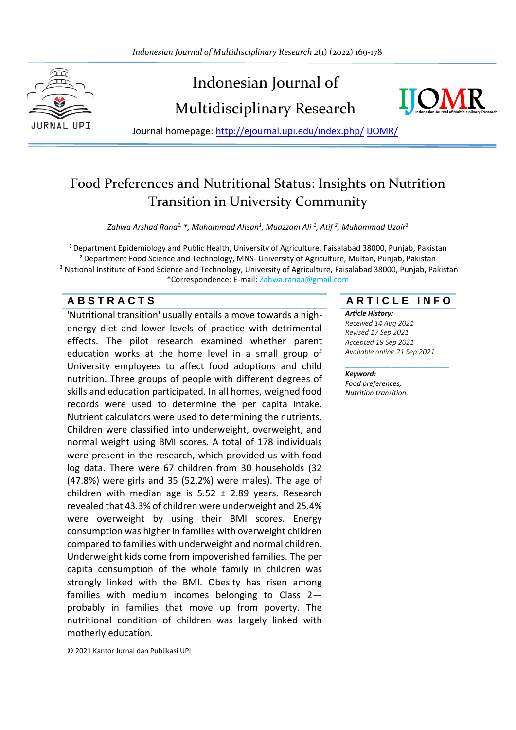

# Indonesian Journal of Multidisciplinary Research



Journal homepage: [http://ejournal.upi.edu/index.php/](http://ejournal.upi.edu/index.php/IJERT/) IJOMR/

## Food Preferences and Nutritional Status: Insights on Nutrition Transition in University Community

*Zahwa Arshad Rana1, \*, Muhammad Ahsan<sup>1</sup> , Muazzam Ali <sup>1</sup> , Atif <sup>2</sup> , Muhammad Uzair<sup>3</sup>*

<sup>1</sup> Department Epidemiology and Public Health, University of Agriculture, Faisalabad 38000, Punjab, Pakistan <sup>2</sup> Department Food Science and Technology, MNS- University of Agriculture, Multan, Punjab, Pakistan <sup>3</sup> National Institute of Food Science and Technology, University of Agriculture, Faisalabad 38000, Punjab, Pakistan \*Correspondence: E-mail: Zahwa.ranaa@gmail.com

'Nutritional transition' usually entails a move towards a highenergy diet and lower levels of practice with detrimental effects. The pilot research examined whether parent education works at the home level in a small group of University employees to affect food adoptions and child nutrition. Three groups of people with different degrees of skills and education participated. In all homes, weighed food records were used to determine the per capita intake. Nutrient calculators were used to determining the nutrients. Children were classified into underweight, overweight, and normal weight using BMI scores. A total of 178 individuals were present in the research, which provided us with food log data. There were 67 children from 30 households (32 (47.8%) were girls and 35 (52.2%) were males). The age of children with median age is  $5.52 \pm 2.89$  years. Research revealed that 43.3% of children were underweight and 25.4% were overweight by using their BMI scores. Energy consumption was higher in families with overweight children compared to families with underweight and normal children. Underweight kids come from impoverished families. The per capita consumption of the whole family in children was strongly linked with the BMI. Obesity has risen among families with medium incomes belonging to Class 2 probably in families that move up from poverty. The nutritional condition of children was largely linked with motherly education.

**A B S T R A C T S A R T I C L E I N F O**

*Article History: Received 14 Aug 2021 Revised 17 Sep 2021*

*Accepted 19 Sep 2021 Available online 21 Sep 2021*

\_\_\_\_\_\_\_\_\_\_\_\_\_\_\_\_\_\_\_\_

*Keyword:*

*Food preferences, Nutrition transition.*

© 2021 Kantor Jurnal dan Publikasi UPI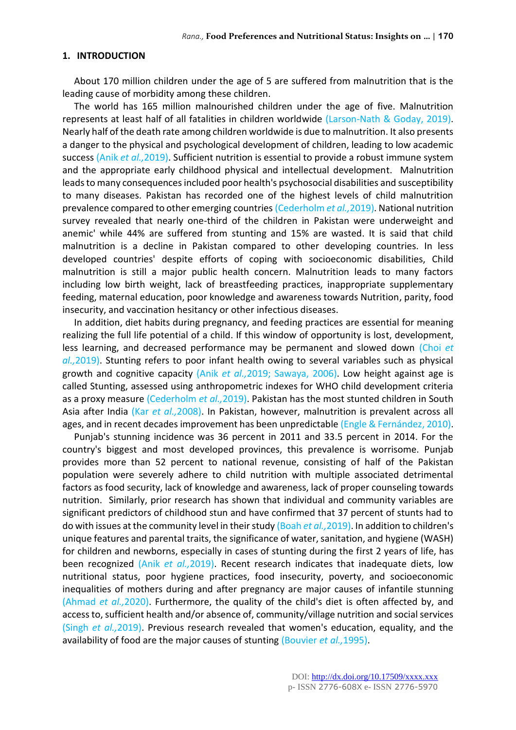#### **1. INTRODUCTION**

About 170 million children under the age of 5 are suffered from malnutrition that is the leading cause of morbidity among these children.

The world has 165 million malnourished children under the age of five. Malnutrition represents at least half of all fatalities in children worldwide (Larson-Nath & Goday, 2019). Nearly half of the death rate among children worldwide is due to malnutrition. It also presents a danger to the physical and psychological development of children, leading to low academic success (Anik *et al.,*2019). Sufficient nutrition is essential to provide a robust immune system and the appropriate early childhood physical and intellectual development. Malnutrition leads to many consequences included poor health's psychosocial disabilities and susceptibility to many diseases. Pakistan has recorded one of the highest levels of child malnutrition prevalence compared to other emerging countries (Cederholm *et al.,*2019). National nutrition survey revealed that nearly one-third of the children in Pakistan were underweight and anemic' while 44% are suffered from stunting and 15% are wasted. It is said that child malnutrition is a decline in Pakistan compared to other developing countries. In less developed countries' despite efforts of coping with socioeconomic disabilities, Child malnutrition is still a major public health concern. Malnutrition leads to many factors including low birth weight, lack of breastfeeding practices, inappropriate supplementary feeding, maternal education, poor knowledge and awareness towards Nutrition, parity, food insecurity, and vaccination hesitancy or other infectious diseases.

In addition, diet habits during pregnancy, and feeding practices are essential for meaning realizing the full life potential of a child. If this window of opportunity is lost, development, less learning, and decreased performance may be permanent and slowed down (Choi *et al.,*2019). Stunting refers to poor infant health owing to several variables such as physical growth and cognitive capacity (Anik *et al.,*2019; Sawaya, 2006). Low height against age is called Stunting, assessed using anthropometric indexes for WHO child development criteria as a proxy measure (Cederholm *et al.,*2019). Pakistan has the most stunted children in South Asia after India (Kar *et al.,*2008). In Pakistan, however, malnutrition is prevalent across all ages, and in recent decades improvement has been unpredictable (Engle & Fernández, 2010).

Punjab's stunning incidence was 36 percent in 2011 and 33.5 percent in 2014. For the country's biggest and most developed provinces, this prevalence is worrisome. Punjab provides more than 52 percent to national revenue, consisting of half of the Pakistan population were severely adhere to child nutrition with multiple associated detrimental factors as food security, lack of knowledge and awareness, lack of proper counseling towards nutrition. Similarly, prior research has shown that individual and community variables are significant predictors of childhood stun and have confirmed that 37 percent of stunts had to do with issues at the community level in their study (Boah *et al.,*2019). In addition to children's unique features and parental traits, the significance of water, sanitation, and hygiene (WASH) for children and newborns, especially in cases of stunting during the first 2 years of life, has been recognized (Anik *et al.,*2019). Recent research indicates that inadequate diets, low nutritional status, poor hygiene practices, food insecurity, poverty, and socioeconomic inequalities of mothers during and after pregnancy are major causes of infantile stunning (Ahmad *et al.,*2020). Furthermore, the quality of the child's diet is often affected by, and access to, sufficient health and/or absence of, community/village nutrition and social services (Singh *et al.,*2019). Previous research revealed that women's education, equality, and the availability of food are the major causes of stunting (Bouvier *et al.,*1995).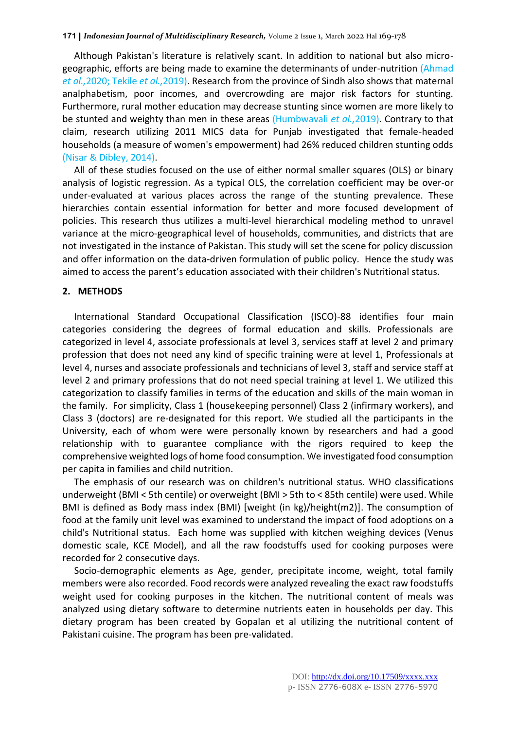Although Pakistan's literature is relatively scant. In addition to national but also microgeographic, efforts are being made to examine the determinants of under-nutrition (Ahmad *et al.,*2020; Tekile *et al.,*2019). Research from the province of Sindh also shows that maternal analphabetism, poor incomes, and overcrowding are major risk factors for stunting. Furthermore, rural mother education may decrease stunting since women are more likely to be stunted and weighty than men in these areas (Humbwavali *et al.,*2019). Contrary to that claim, research utilizing 2011 MICS data for Punjab investigated that female-headed households (a measure of women's empowerment) had 26% reduced children stunting odds (Nisar & Dibley, 2014).

All of these studies focused on the use of either normal smaller squares (OLS) or binary analysis of logistic regression. As a typical OLS, the correlation coefficient may be over-or under-evaluated at various places across the range of the stunting prevalence. These hierarchies contain essential information for better and more focused development of policies. This research thus utilizes a multi-level hierarchical modeling method to unravel variance at the micro-geographical level of households, communities, and districts that are not investigated in the instance of Pakistan. This study will set the scene for policy discussion and offer information on the data-driven formulation of public policy. Hence the study was aimed to access the parent's education associated with their children's Nutritional status.

#### **2. METHODS**

International Standard Occupational Classification (ISCO)-88 identifies four main categories considering the degrees of formal education and skills. Professionals are categorized in level 4, associate professionals at level 3, services staff at level 2 and primary profession that does not need any kind of specific training were at level 1, Professionals at level 4, nurses and associate professionals and technicians of level 3, staff and service staff at level 2 and primary professions that do not need special training at level 1. We utilized this categorization to classify families in terms of the education and skills of the main woman in the family. For simplicity, Class 1 (housekeeping personnel) Class 2 (infirmary workers), and Class 3 (doctors) are re-designated for this report. We studied all the participants in the University, each of whom were were personally known by researchers and had a good relationship with to guarantee compliance with the rigors required to keep the comprehensive weighted logs of home food consumption. We investigated food consumption per capita in families and child nutrition.

The emphasis of our research was on children's nutritional status. WHO classifications underweight (BMI < 5th centile) or overweight (BMI > 5th to < 85th centile) were used. While BMI is defined as Body mass index (BMI) [weight (in kg)/height(m2)]. The consumption of food at the family unit level was examined to understand the impact of food adoptions on a child's Nutritional status. Each home was supplied with kitchen weighing devices (Venus domestic scale, KCE Model), and all the raw foodstuffs used for cooking purposes were recorded for 2 consecutive days.

Socio-demographic elements as Age, gender, precipitate income, weight, total family members were also recorded. Food records were analyzed revealing the exact raw foodstuffs weight used for cooking purposes in the kitchen. The nutritional content of meals was analyzed using dietary software to determine nutrients eaten in households per day. This dietary program has been created by Gopalan et al utilizing the nutritional content of Pakistani cuisine. The program has been pre-validated.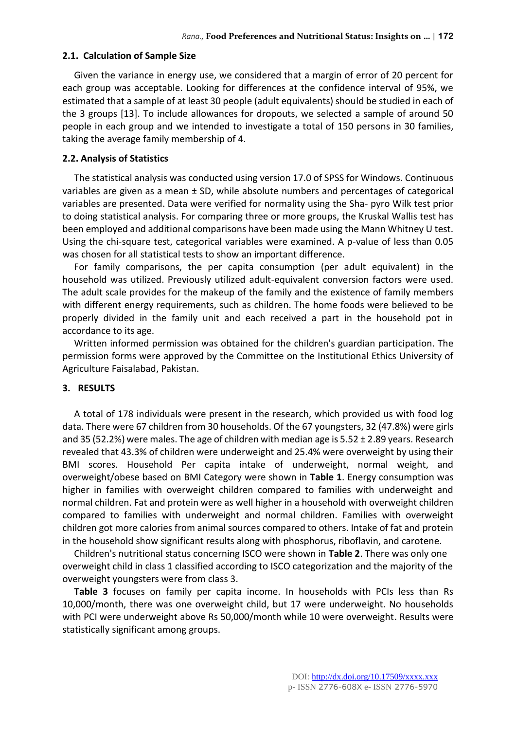#### **2.1. Calculation of Sample Size**

Given the variance in energy use, we considered that a margin of error of 20 percent for each group was acceptable. Looking for differences at the confidence interval of 95%, we estimated that a sample of at least 30 people (adult equivalents) should be studied in each of the 3 groups [13]. To include allowances for dropouts, we selected a sample of around 50 people in each group and we intended to investigate a total of 150 persons in 30 families, taking the average family membership of 4.

#### **2.2. Analysis of Statistics**

The statistical analysis was conducted using version 17.0 of SPSS for Windows. Continuous variables are given as a mean ± SD, while absolute numbers and percentages of categorical variables are presented. Data were verified for normality using the Sha- pyro Wilk test prior to doing statistical analysis. For comparing three or more groups, the Kruskal Wallis test has been employed and additional comparisons have been made using the Mann Whitney U test. Using the chi-square test, categorical variables were examined. A p-value of less than 0.05 was chosen for all statistical tests to show an important difference.

For family comparisons, the per capita consumption (per adult equivalent) in the household was utilized. Previously utilized adult-equivalent conversion factors were used. The adult scale provides for the makeup of the family and the existence of family members with different energy requirements, such as children. The home foods were believed to be properly divided in the family unit and each received a part in the household pot in accordance to its age.

Written informed permission was obtained for the children's guardian participation. The permission forms were approved by the Committee on the Institutional Ethics University of Agriculture Faisalabad, Pakistan.

### **3. RESULTS**

A total of 178 individuals were present in the research, which provided us with food log data. There were 67 children from 30 households. Of the 67 youngsters, 32 (47.8%) were girls and 35 (52.2%) were males. The age of children with median age is  $5.52 \pm 2.89$  years. Research revealed that 43.3% of children were underweight and 25.4% were overweight by using their BMI scores. Household Per capita intake of underweight, normal weight, and overweight/obese based on BMI Category were shown in **Table 1**. Energy consumption was higher in families with overweight children compared to families with underweight and normal children. Fat and protein were as well higher in a household with overweight children compared to families with underweight and normal children. Families with overweight children got more calories from animal sources compared to others. Intake of fat and protein in the household show significant results along with phosphorus, riboflavin, and carotene.

Children's nutritional status concerning ISCO were shown in **Table 2**. There was only one overweight child in class 1 classified according to ISCO categorization and the majority of the overweight youngsters were from class 3.

**Table 3** focuses on family per capita income. In households with PCIs less than Rs 10,000/month, there was one overweight child, but 17 were underweight. No households with PCI were underweight above Rs 50,000/month while 10 were overweight. Results were statistically significant among groups.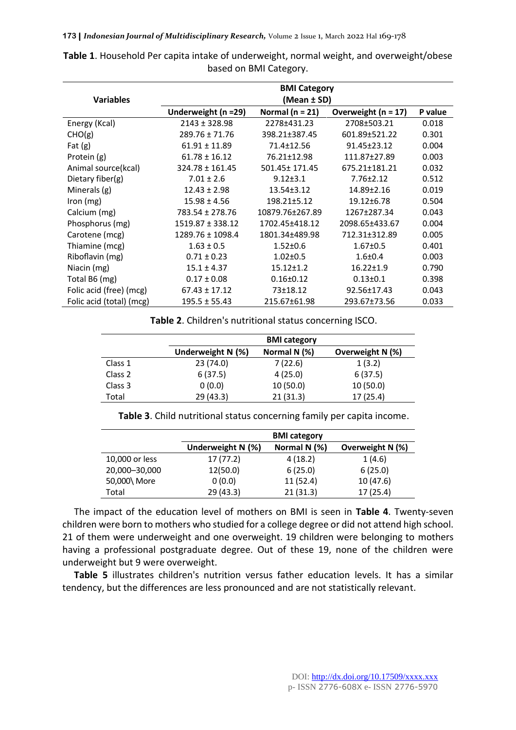| <b>BMI Category</b>      |                      |                     |                       |         |
|--------------------------|----------------------|---------------------|-----------------------|---------|
| <b>Variables</b>         | (Mean ± SD)          |                     |                       |         |
|                          | Underweight (n =29)  | Normal ( $n = 21$ ) | Overweight $(n = 17)$ | P value |
| Energy (Kcal)            | $2143 \pm 328.98$    | 2278±431.23         | 2708±503.21           | 0.018   |
| CHO(g)                   | $289.76 \pm 71.76$   | 398.21±387.45       | 601.89±521.22         | 0.301   |
| Fat $(g)$                | $61.91 \pm 11.89$    | 71.4±12.56          | 91.45±23.12           | 0.004   |
| Protein (g)              | $61.78 \pm 16.12$    | 76.21±12.98         | 111.87±27.89          | 0.003   |
| Animal source(kcal)      | $324.78 \pm 161.45$  | 501.45± 171.45      | 675.21±181.21         | 0.032   |
| Dietary fiber $(g)$      | $7.01 \pm 2.6$       | $9.12 \pm 3.1$      | $7.76 \pm 2.12$       | 0.512   |
| Minerals (g)             | $12.43 \pm 2.98$     | $13.54 \pm 3.12$    | 14.89±2.16            | 0.019   |
| Iron $(mg)$              | $15.98 \pm 4.56$     | 198.21±5.12         | 19.12±6.78            | 0.504   |
| Calcium (mg)             | 783.54 ± 278.76      | 10879.76±267.89     | 1267±287.34           | 0.043   |
| Phosphorus (mg)          | $1519.87 \pm 338.12$ | 1702.45±418.12      | 2098.65±433.67        | 0.004   |
| Carotene (mcg)           | 1289.76 ± 1098.4     | 1801.34±489.98      | 712.31±312.89         | 0.005   |
| Thiamine (mcg)           | $1.63 \pm 0.5$       | $1.52 \pm 0.6$      | $1.67 \pm 0.5$        | 0.401   |
| Riboflavin (mg)          | $0.71 \pm 0.23$      | $1.02 \pm 0.5$      | $1.6 + 0.4$           | 0.003   |
| Niacin (mg)              | $15.1 \pm 4.37$      | $15.12 \pm 1.2$     | $16.22 \pm 1.9$       | 0.790   |
| Total B6 (mg)            | $0.17 \pm 0.08$      | $0.16 \pm 0.12$     | $0.13 \pm 0.1$        | 0.398   |
| Folic acid (free) (mcg)  | $67.43 \pm 17.12$    | 73±18.12            | 92.56±17.43           | 0.043   |
| Folic acid (total) (mcg) | $195.5 \pm 55.43$    | 215.67±61.98        | 293.67±73.56          | 0.033   |

**Table 1**. Household Per capita intake of underweight, normal weight, and overweight/obese based on BMI Category.

**Table 2**. Children's nutritional status concerning ISCO.

|         |                   | <b>BMI category</b> |                  |  |
|---------|-------------------|---------------------|------------------|--|
|         | Underweight N (%) | Normal N (%)        | Overweight N (%) |  |
| Class 1 | 23(74.0)          | 7(22.6)             | 1(3.2)           |  |
| Class 2 | 6(37.5)           | 4(25.0)             | 6(37.5)          |  |
| Class 3 | 0(0.0)            | 10(50.0)            | 10(50.0)         |  |
| Total   | 29 (43.3)         | 21(31.3)            | 17(25.4)         |  |

**Table 3**. Child nutritional status concerning family per capita income.

|                | <b>BMI</b> category |              |                  |
|----------------|---------------------|--------------|------------------|
|                | Underweight N (%)   | Normal N (%) | Overweight N (%) |
| 10,000 or less | 17(77.2)            | 4(18.2)      | 1(4.6)           |
| 20,000-30,000  | 12(50.0)            | 6(25.0)      | 6(25.0)          |
| 50,000\ More   | 0(0.0)              | 11(52.4)     | 10(47.6)         |
| Total          | 29(43.3)            | 21(31.3)     | 17(25.4)         |

The impact of the education level of mothers on BMI is seen in **Table 4**. Twenty-seven children were born to mothers who studied for a college degree or did not attend high school. 21 of them were underweight and one overweight. 19 children were belonging to mothers having a professional postgraduate degree. Out of these 19, none of the children were underweight but 9 were overweight.

**Table 5** illustrates children's nutrition versus father education levels. It has a similar tendency, but the differences are less pronounced and are not statistically relevant.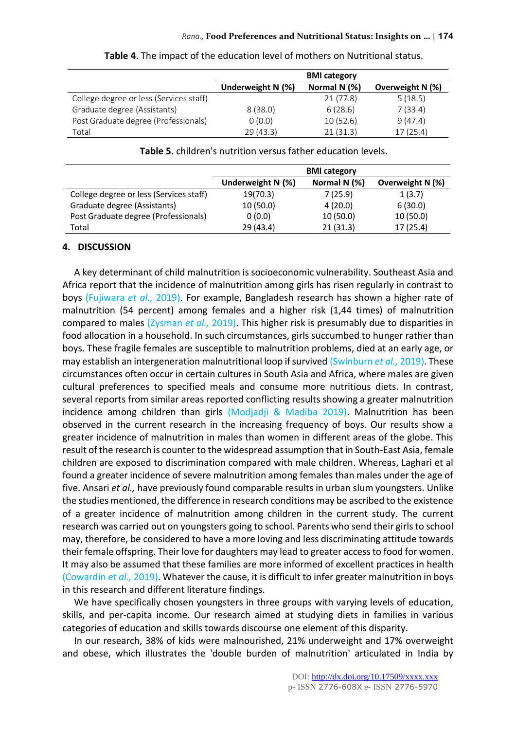|                                         | <b>BMI category</b> |              |                  |
|-----------------------------------------|---------------------|--------------|------------------|
|                                         | Underweight N (%)   | Normal N (%) | Overweight N (%) |
| College degree or less (Services staff) |                     | 21 (77.8)    | 5(18.5)          |
| Graduate degree (Assistants)            | 8(38.0)             | 6(28.6)      | 7(33.4)          |
| Post Graduate degree (Professionals)    | 0(0.0)              | 10(52.6)     | 9(47.4)          |
| Total                                   | 29(43.3)            | 21(31.3)     | 17(25.4)         |

**Table 4**. The impact of the education level of mothers on Nutritional status.

#### **Table 5**. children's nutrition versus father education levels.

|                                         | <b>BMI category</b> |              |                  |
|-----------------------------------------|---------------------|--------------|------------------|
|                                         | Underweight $N$ (%) | Normal N (%) | Overweight N (%) |
| College degree or less (Services staff) | 19(70.3)            | 7(25.9)      | 1(3.7)           |
| Graduate degree (Assistants)            | 10(50.0)            | 4(20.0)      | 6(30.0)          |
| Post Graduate degree (Professionals)    | 0(0.0)              | 10(50.0)     | 10(50.0)         |
| Total                                   | 29 (43.4)           | 21(31.3)     | 17(25.4)         |

#### **4. DISCUSSION**

A key determinant of child malnutrition is socioeconomic vulnerability. Southeast Asia and Africa report that the incidence of malnutrition among girls has risen regularly in contrast to boys (Fujiwara *et al.,* 2019). For example, Bangladesh research has shown a higher rate of malnutrition (54 percent) among females and a higher risk (1,44 times) of malnutrition compared to males (Zysman *et al.,* 2019). This higher risk is presumably due to disparities in food allocation in a household. In such circumstances, girls succumbed to hunger rather than boys. These fragile females are susceptible to malnutrition problems, died at an early age, or may establish an intergeneration malnutritional loop if survived (Swinburn *et al.,* 2019). These circumstances often occur in certain cultures in South Asia and Africa, where males are given cultural preferences to specified meals and consume more nutritious diets. In contrast, several reports from similar areas reported conflicting results showing a greater malnutrition incidence among children than girls (Modjadji & Madiba 2019). Malnutrition has been observed in the current research in the increasing frequency of boys. Our results show a greater incidence of malnutrition in males than women in different areas of the globe. This result of the research is counter to the widespread assumption that in South-East Asia, female children are exposed to discrimination compared with male children. Whereas, Laghari et al found a greater incidence of severe malnutrition among females than males under the age of five. Ansari *et al.,* have previously found comparable results in urban slum youngsters. Unlike the studies mentioned, the difference in research conditions may be ascribed to the existence of a greater incidence of malnutrition among children in the current study. The current research was carried out on youngsters going to school. Parents who send their girls to school may, therefore, be considered to have a more loving and less discriminating attitude towards their female offspring. Their love for daughters may lead to greater access to food for women. It may also be assumed that these families are more informed of excellent practices in health (Cowardin *et al.,* 2019). Whatever the cause, it is difficult to infer greater malnutrition in boys in this research and different literature findings.

We have specifically chosen youngsters in three groups with varying levels of education, skills, and per-capita income. Our research aimed at studying diets in families in various categories of education and skills towards discourse one element of this disparity.

In our research, 38% of kids were malnourished, 21% underweight and 17% overweight and obese, which illustrates the 'double burden of malnutrition' articulated in India by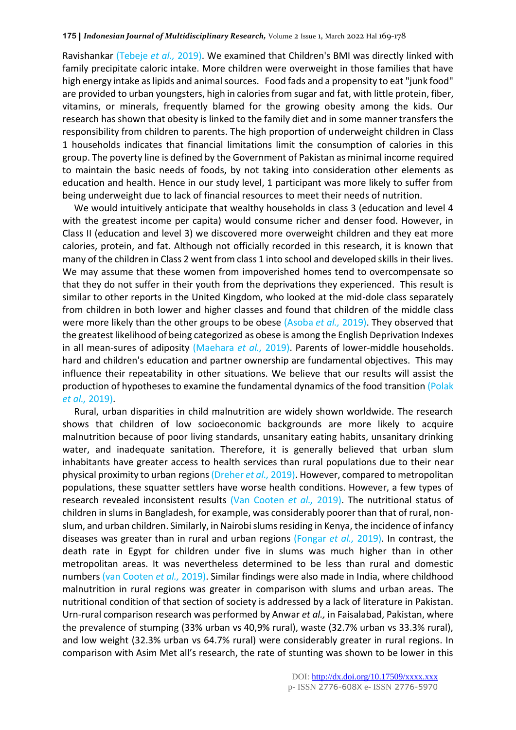Ravishankar (Tebeje *et al.,* 2019). We examined that Children's BMI was directly linked with family precipitate caloric intake. More children were overweight in those families that have high energy intake as lipids and animal sources. Food fads and a propensity to eat "junk food" are provided to urban youngsters, high in calories from sugar and fat, with little protein, fiber, vitamins, or minerals, frequently blamed for the growing obesity among the kids. Our research has shown that obesity is linked to the family diet and in some manner transfers the responsibility from children to parents. The high proportion of underweight children in Class 1 households indicates that financial limitations limit the consumption of calories in this group. The poverty line is defined by the Government of Pakistan as minimal income required to maintain the basic needs of foods, by not taking into consideration other elements as education and health. Hence in our study level, 1 participant was more likely to suffer from being underweight due to lack of financial resources to meet their needs of nutrition.

We would intuitively anticipate that wealthy households in class 3 (education and level 4 with the greatest income per capita) would consume richer and denser food. However, in Class II (education and level 3) we discovered more overweight children and they eat more calories, protein, and fat. Although not officially recorded in this research, it is known that many of the children in Class 2 went from class 1 into school and developed skills in their lives. We may assume that these women from impoverished homes tend to overcompensate so that they do not suffer in their youth from the deprivations they experienced. This result is similar to other reports in the United Kingdom, who looked at the mid-dole class separately from children in both lower and higher classes and found that children of the middle class were more likely than the other groups to be obese (Asoba *et al.,* 2019). They observed that the greatest likelihood of being categorized as obese is among the English Deprivation Indexes in all mean-sures of adiposity (Maehara *et al.,* 2019). Parents of lower-middle households. hard and children's education and partner ownership are fundamental objectives. This may influence their repeatability in other situations. We believe that our results will assist the production of hypotheses to examine the fundamental dynamics of the food transition (Polak *et al.,* 2019).

Rural, urban disparities in child malnutrition are widely shown worldwide. The research shows that children of low socioeconomic backgrounds are more likely to acquire malnutrition because of poor living standards, unsanitary eating habits, unsanitary drinking water, and inadequate sanitation. Therefore, it is generally believed that urban slum inhabitants have greater access to health services than rural populations due to their near physical proximity to urban regions (Dreher *et al.,* 2019). However, compared to metropolitan populations, these squatter settlers have worse health conditions. However, a few types of research revealed inconsistent results (Van Cooten *et al.,* 2019). The nutritional status of children in slums in Bangladesh, for example, was considerably poorer than that of rural, nonslum, and urban children. Similarly, in Nairobi slums residing in Kenya, the incidence of infancy diseases was greater than in rural and urban regions (Fongar *et al.,* 2019). In contrast, the death rate in Egypt for children under five in slums was much higher than in other metropolitan areas. It was nevertheless determined to be less than rural and domestic numbers (van Cooten *et al.,* 2019). Similar findings were also made in India, where childhood malnutrition in rural regions was greater in comparison with slums and urban areas. The nutritional condition of that section of society is addressed by a lack of literature in Pakistan. Urn-rural comparison research was performed by Anwar *et al.,* in Faisalabad, Pakistan, where the prevalence of stumping (33% urban vs 40,9% rural), waste (32.7% urban vs 33.3% rural), and low weight (32.3% urban vs 64.7% rural) were considerably greater in rural regions. In comparison with Asim Met all's research, the rate of stunting was shown to be lower in this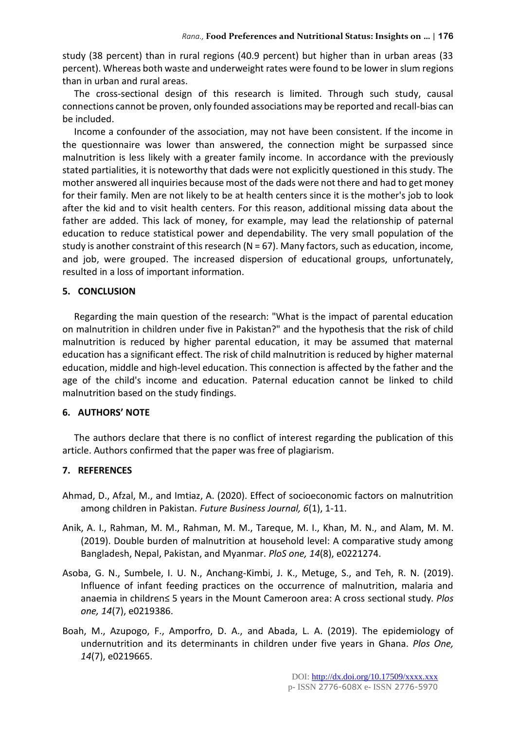study (38 percent) than in rural regions (40.9 percent) but higher than in urban areas (33 percent). Whereas both waste and underweight rates were found to be lower in slum regions than in urban and rural areas.

The cross-sectional design of this research is limited. Through such study, causal connections cannot be proven, only founded associations may be reported and recall-bias can be included.

Income a confounder of the association, may not have been consistent. If the income in the questionnaire was lower than answered, the connection might be surpassed since malnutrition is less likely with a greater family income. In accordance with the previously stated partialities, it is noteworthy that dads were not explicitly questioned in this study. The mother answered all inquiries because most of the dads were not there and had to get money for their family. Men are not likely to be at health centers since it is the mother's job to look after the kid and to visit health centers. For this reason, additional missing data about the father are added. This lack of money, for example, may lead the relationship of paternal education to reduce statistical power and dependability. The very small population of the study is another constraint of this research (N = 67). Many factors, such as education, income, and job, were grouped. The increased dispersion of educational groups, unfortunately, resulted in a loss of important information.

#### **5. CONCLUSION**

Regarding the main question of the research: "What is the impact of parental education on malnutrition in children under five in Pakistan?" and the hypothesis that the risk of child malnutrition is reduced by higher parental education, it may be assumed that maternal education has a significant effect. The risk of child malnutrition is reduced by higher maternal education, middle and high-level education. This connection is affected by the father and the age of the child's income and education. Paternal education cannot be linked to child malnutrition based on the study findings.

#### **6. AUTHORS' NOTE**

The authors declare that there is no conflict of interest regarding the publication of this article. Authors confirmed that the paper was free of plagiarism.

#### **7. REFERENCES**

- Ahmad, D., Afzal, M., and Imtiaz, A. (2020). Effect of socioeconomic factors on malnutrition among children in Pakistan*. Future Business Journal, 6*(1), 1-11.
- Anik, A. I., Rahman, M. M., Rahman, M. M., Tareque, M. I., Khan, M. N., and Alam, M. M. (2019). Double burden of malnutrition at household level: A comparative study among Bangladesh, Nepal, Pakistan, and Myanmar. *PloS one, 14*(8), e0221274.
- Asoba, G. N., Sumbele, I. U. N., Anchang-Kimbi, J. K., Metuge, S., and Teh, R. N. (2019). Influence of infant feeding practices on the occurrence of malnutrition, malaria and anaemia in children≤ 5 years in the Mount Cameroon area: A cross sectional study*. Plos one, 14*(7), e0219386.
- Boah, M., Azupogo, F., Amporfro, D. A., and Abada, L. A. (2019). The epidemiology of undernutrition and its determinants in children under five years in Ghana. *Plos One, 14*(7), e0219665.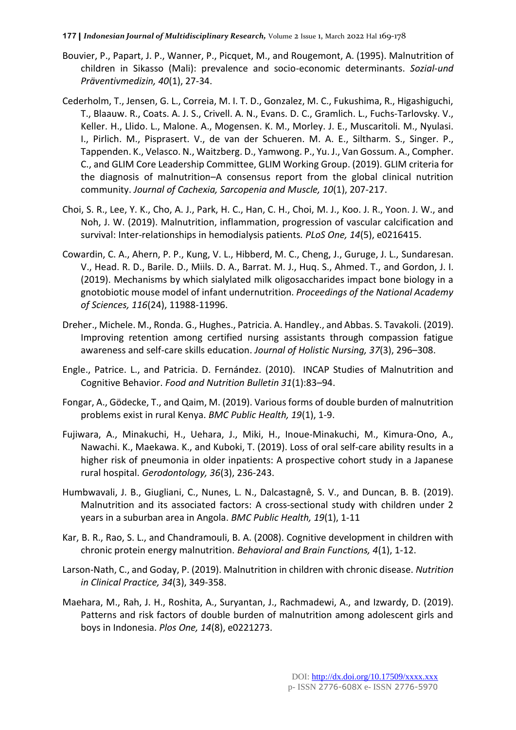- Bouvier, P., Papart, J. P., Wanner, P., Picquet, M., and Rougemont, A. (1995). Malnutrition of children in Sikasso (Mali): prevalence and socio-economic determinants. *Sozial-und Präventivmedizin, 40*(1), 27-34.
- Cederholm, T., Jensen, G. L., Correia, M. I. T. D., Gonzalez, M. C., Fukushima, R., Higashiguchi, T., Blaauw. R., Coats. A. J. S., Crivell. A. N., Evans. D. C., Gramlich. L., Fuchs-Tarlovsky. V., Keller. H., Llido. L., Malone. A., Mogensen. K. M., Morley. J. E., Muscaritoli. M., Nyulasi. I., Pirlich. M., Pisprasert. V., de van der Schueren. M. A. E., Siltharm. S., Singer. P., Tappenden. K., Velasco. N., Waitzberg. D., Yamwong. P., Yu. J., Van Gossum. A., Compher. C., and GLIM Core Leadership Committee, GLIM Working Group. (2019). GLIM criteria for the diagnosis of malnutrition–A consensus report from the global clinical nutrition community. *Journal of Cachexia, Sarcopenia and Muscle, 10*(1), 207-217.
- Choi, S. R., Lee, Y. K., Cho, A. J., Park, H. C., Han, C. H., Choi, M. J., Koo. J. R., Yoon. J. W., and Noh, J. W. (2019). Malnutrition, inflammation, progression of vascular calcification and survival: Inter-relationships in hemodialysis patients*. PLoS One, 14*(5), e0216415.
- Cowardin, C. A., Ahern, P. P., Kung, V. L., Hibberd, M. C., Cheng, J., Guruge, J. L., Sundaresan. V., Head. R. D., Barile. D., Miils. D. A., Barrat. M. J., Huq. S., Ahmed. T., and Gordon, J. I. (2019). Mechanisms by which sialylated milk oligosaccharides impact bone biology in a gnotobiotic mouse model of infant undernutrition. *Proceedings of the National Academy of Sciences, 116*(24), 11988-11996.
- Dreher., Michele. M., Ronda. G., Hughes., Patricia. A. Handley., and Abbas. S. Tavakoli. (2019). Improving retention among certified nursing assistants through compassion fatigue awareness and self-care skills education. *Journal of Holistic Nursing, 37*(3), 296–308.
- Engle., Patrice. L., and Patricia. D. Fernández. (2010). INCAP Studies of Malnutrition and Cognitive Behavior. *Food and Nutrition Bulletin 31*(1):83–94.
- Fongar, A., Gödecke, T., and Qaim, M. (2019). Various forms of double burden of malnutrition problems exist in rural Kenya. *BMC Public Health, 19*(1), 1-9.
- Fujiwara, A., Minakuchi, H., Uehara, J., Miki, H., Inoue‐Minakuchi, M., Kimura‐Ono, A., Nawachi. K., Maekawa. K., and Kuboki, T. (2019). Loss of oral self‐care ability results in a higher risk of pneumonia in older inpatients: A prospective cohort study in a Japanese rural hospital. *Gerodontology, 36*(3), 236-243.
- Humbwavali, J. B., Giugliani, C., Nunes, L. N., Dalcastagnê, S. V., and Duncan, B. B. (2019). Malnutrition and its associated factors: A cross-sectional study with children under 2 years in a suburban area in Angola. *BMC Public Health, 19*(1), 1-11
- Kar, B. R., Rao, S. L., and Chandramouli, B. A. (2008). Cognitive development in children with chronic protein energy malnutrition. *Behavioral and Brain Functions, 4*(1), 1-12.
- Larson‐Nath, C., and Goday, P. (2019). Malnutrition in children with chronic disease. *Nutrition in Clinical Practice, 34*(3), 349-358.
- Maehara, M., Rah, J. H., Roshita, A., Suryantan, J., Rachmadewi, A., and Izwardy, D. (2019). Patterns and risk factors of double burden of malnutrition among adolescent girls and boys in Indonesia. *Plos One, 14*(8), e0221273.